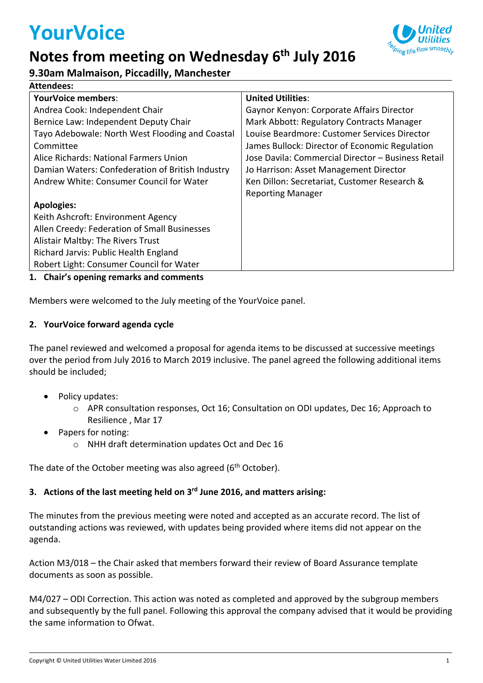# **YourVoice**

# **Notes from meeting on Wednesday 6 th July 2016**



# **9.30am Malmaison, Piccadilly, Manchester**

| <b>Attendees:</b>                                |                                                    |
|--------------------------------------------------|----------------------------------------------------|
| <b>YourVoice members:</b>                        | <b>United Utilities:</b>                           |
| Andrea Cook: Independent Chair                   | Gaynor Kenyon: Corporate Affairs Director          |
| Bernice Law: Independent Deputy Chair            | Mark Abbott: Regulatory Contracts Manager          |
| Tayo Adebowale: North West Flooding and Coastal  | Louise Beardmore: Customer Services Director       |
| Committee                                        | James Bullock: Director of Economic Regulation     |
| Alice Richards: National Farmers Union           | Jose Davila: Commercial Director - Business Retail |
| Damian Waters: Confederation of British Industry | Jo Harrison: Asset Management Director             |
| Andrew White: Consumer Council for Water         | Ken Dillon: Secretariat, Customer Research &       |
|                                                  | <b>Reporting Manager</b>                           |
| <b>Apologies:</b>                                |                                                    |
| Keith Ashcroft: Environment Agency               |                                                    |
| Allen Creedy: Federation of Small Businesses     |                                                    |
| Alistair Maltby: The Rivers Trust                |                                                    |
| Richard Jarvis: Public Health England            |                                                    |
| Robert Light: Consumer Council for Water         |                                                    |

# **1. Chair's opening remarks and comments**

Members were welcomed to the July meeting of the YourVoice panel.

# **2. YourVoice forward agenda cycle**

The panel reviewed and welcomed a proposal for agenda items to be discussed at successive meetings over the period from July 2016 to March 2019 inclusive. The panel agreed the following additional items should be included;

- Policy updates:
	- o APR consultation responses, Oct 16; Consultation on ODI updates, Dec 16; Approach to Resilience , Mar 17
- Papers for noting:
	- o NHH draft determination updates Oct and Dec 16

The date of the October meeting was also agreed (6<sup>th</sup> October).

# **3. Actions of the last meeting held on 3 rd June 2016, and matters arising:**

The minutes from the previous meeting were noted and accepted as an accurate record. The list of outstanding actions was reviewed, with updates being provided where items did not appear on the agenda.

Action M3/018 – the Chair asked that members forward their review of Board Assurance template documents as soon as possible.

M4/027 – ODI Correction. This action was noted as completed and approved by the subgroup members and subsequently by the full panel. Following this approval the company advised that it would be providing the same information to Ofwat.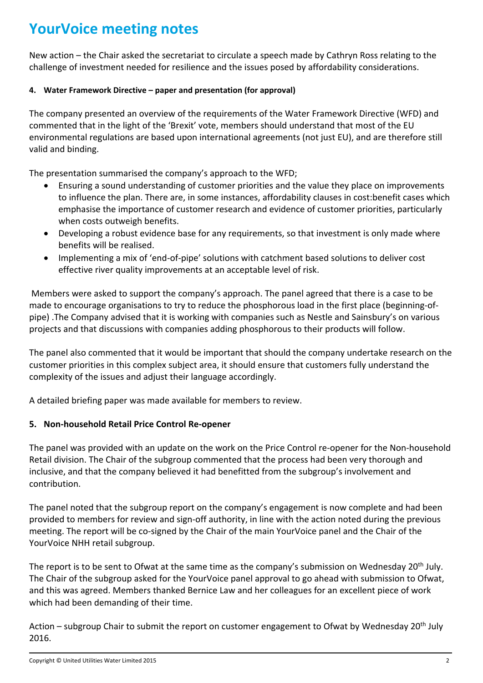# **YourVoice meeting notes**

New action – the Chair asked the secretariat to circulate a speech made by Cathryn Ross relating to the challenge of investment needed for resilience and the issues posed by affordability considerations.

### **4. Water Framework Directive – paper and presentation (for approval)**

The company presented an overview of the requirements of the Water Framework Directive (WFD) and commented that in the light of the 'Brexit' vote, members should understand that most of the EU environmental regulations are based upon international agreements (not just EU), and are therefore still valid and binding.

The presentation summarised the company's approach to the WFD;

- Ensuring a sound understanding of customer priorities and the value they place on improvements to influence the plan. There are, in some instances, affordability clauses in cost:benefit cases which emphasise the importance of customer research and evidence of customer priorities, particularly when costs outweigh benefits.
- Developing a robust evidence base for any requirements, so that investment is only made where benefits will be realised.
- Implementing a mix of 'end-of-pipe' solutions with catchment based solutions to deliver cost effective river quality improvements at an acceptable level of risk.

Members were asked to support the company's approach. The panel agreed that there is a case to be made to encourage organisations to try to reduce the phosphorous load in the first place (beginning-ofpipe) .The Company advised that it is working with companies such as Nestle and Sainsbury's on various projects and that discussions with companies adding phosphorous to their products will follow.

The panel also commented that it would be important that should the company undertake research on the customer priorities in this complex subject area, it should ensure that customers fully understand the complexity of the issues and adjust their language accordingly.

A detailed briefing paper was made available for members to review.

# **5. Non-household Retail Price Control Re-opener**

The panel was provided with an update on the work on the Price Control re-opener for the Non-household Retail division. The Chair of the subgroup commented that the process had been very thorough and inclusive, and that the company believed it had benefitted from the subgroup's involvement and contribution.

The panel noted that the subgroup report on the company's engagement is now complete and had been provided to members for review and sign-off authority, in line with the action noted during the previous meeting. The report will be co-signed by the Chair of the main YourVoice panel and the Chair of the YourVoice NHH retail subgroup.

The report is to be sent to Ofwat at the same time as the company's submission on Wednesday 20<sup>th</sup> July. The Chair of the subgroup asked for the YourVoice panel approval to go ahead with submission to Ofwat, and this was agreed. Members thanked Bernice Law and her colleagues for an excellent piece of work which had been demanding of their time.

Action – subgroup Chair to submit the report on customer engagement to Ofwat by Wednesday 20<sup>th</sup> July 2016.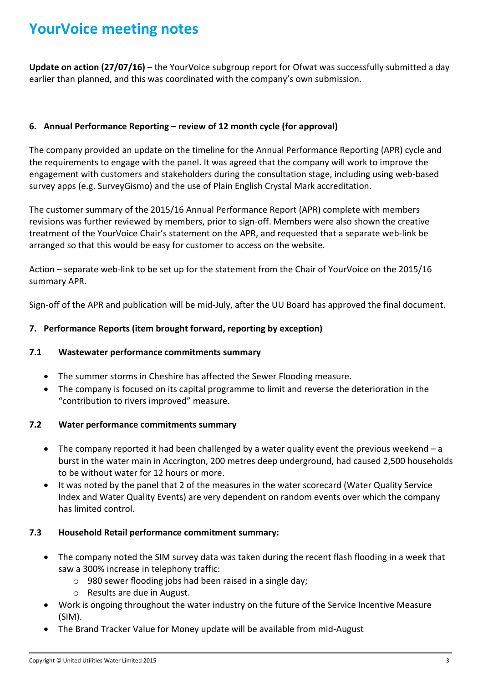# **YourVoice meeting notes**

**Update on action (27/07/16)** – the YourVoice subgroup report for Ofwat was successfully submitted a day earlier than planned, and this was coordinated with the company's own submission.

# **6. Annual Performance Reporting – review of 12 month cycle (for approval)**

The company provided an update on the timeline for the Annual Performance Reporting (APR) cycle and the requirements to engage with the panel. It was agreed that the company will work to improve the engagement with customers and stakeholders during the consultation stage, including using web-based survey apps (e.g. SurveyGismo) and the use of Plain English Crystal Mark accreditation.

The customer summary of the 2015/16 Annual Performance Report (APR) complete with members revisions was further reviewed by members, prior to sign-off. Members were also shown the creative treatment of the YourVoice Chair's statement on the APR, and requested that a separate web-link be arranged so that this would be easy for customer to access on the website.

Action – separate web-link to be set up for the statement from the Chair of YourVoice on the 2015/16 summary APR.

Sign-off of the APR and publication will be mid-July, after the UU Board has approved the final document.

# **7. Performance Reports (item brought forward, reporting by exception)**

# **7.1 Wastewater performance commitments summary**

- The summer storms in Cheshire has affected the Sewer Flooding measure.
- The company is focused on its capital programme to limit and reverse the deterioration in the "contribution to rivers improved" measure.

### **7.2 Water performance commitments summary**

- The company reported it had been challenged by a water quality event the previous weekend a burst in the water main in Accrington, 200 metres deep underground, had caused 2,500 households to be without water for 12 hours or more.
- It was noted by the panel that 2 of the measures in the water scorecard (Water Quality Service Index and Water Quality Events) are very dependent on random events over which the company has limited control.

### **7.3 Household Retail performance commitment summary:**

- The company noted the SIM survey data was taken during the recent flash flooding in a week that saw a 300% increase in telephony traffic:
	- o 980 sewer flooding jobs had been raised in a single day;
	- o Results are due in August.
- Work is ongoing throughout the water industry on the future of the Service Incentive Measure (SIM).
- The Brand Tracker Value for Money update will be available from mid-August